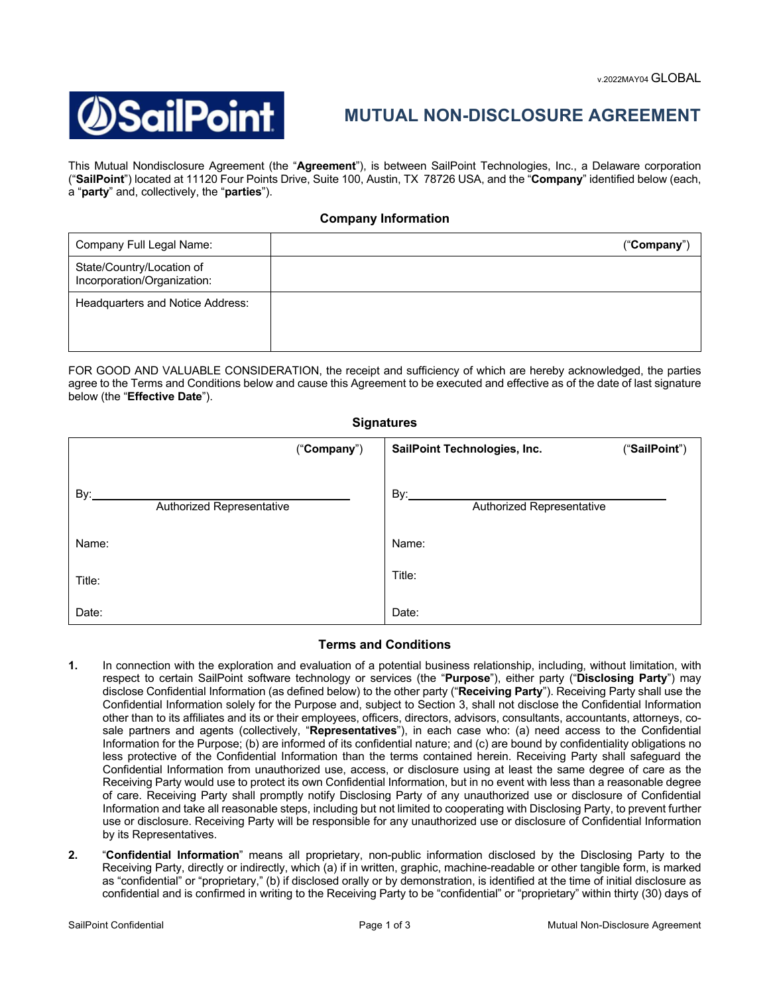

## **MUTUAL NON-DISCLOSURE AGREEMENT**

This Mutual Nondisclosure Agreement (the "**Agreement**"), is between SailPoint Technologies, Inc., a Delaware corporation ("**SailPoint**") located at 11120 Four Points Drive, Suite 100, Austin, TX 78726 USA, and the "**Company**" identified below (each, a "**party**" and, collectively, the "**parties**").

## **Company Information**

| Company Full Legal Name:                                 | ("Comparly") |
|----------------------------------------------------------|--------------|
| State/Country/Location of<br>Incorporation/Organization: |              |
| Headquarters and Notice Address:                         |              |

FOR GOOD AND VALUABLE CONSIDERATION, the receipt and sufficiency of which are hereby acknowledged, the parties agree to the Terms and Conditions below and cause this Agreement to be executed and effective as of the date of last signature below (the "**Effective Date**").

## **Signatures**

| ("Company")                      | SailPoint Technologies, Inc.<br>("SailPoint") |  |
|----------------------------------|-----------------------------------------------|--|
| By:<br>Authorized Representative | By:<br>Authorized Representative              |  |
| Name:                            | Name:                                         |  |
| Title:                           | Title:                                        |  |
| Date:                            | Date:                                         |  |

## **Terms and Conditions**

- **1.** In connection with the exploration and evaluation of a potential business relationship, including, without limitation, with respect to certain SailPoint software technology or services (the "**Purpose**"), either party ("**Disclosing Party**") may disclose Confidential Information (as defined below) to the other party ("**Receiving Party**"). Receiving Party shall use the Confidential Information solely for the Purpose and, subject to Section 3, shall not disclose the Confidential Information other than to its affiliates and its or their employees, officers, directors, advisors, consultants, accountants, attorneys, cosale partners and agents (collectively, "**Representatives**"), in each case who: (a) need access to the Confidential Information for the Purpose; (b) are informed of its confidential nature; and (c) are bound by confidentiality obligations no less protective of the Confidential Information than the terms contained herein. Receiving Party shall safeguard the Confidential Information from unauthorized use, access, or disclosure using at least the same degree of care as the Receiving Party would use to protect its own Confidential Information, but in no event with less than a reasonable degree of care. Receiving Party shall promptly notify Disclosing Party of any unauthorized use or disclosure of Confidential Information and take all reasonable steps, including but not limited to cooperating with Disclosing Party, to prevent further use or disclosure. Receiving Party will be responsible for any unauthorized use or disclosure of Confidential Information by its Representatives.
- **2.** "**Confidential Information**" means all proprietary, non-public information disclosed by the Disclosing Party to the Receiving Party, directly or indirectly, which (a) if in written, graphic, machine-readable or other tangible form, is marked as "confidential" or "proprietary," (b) if disclosed orally or by demonstration, is identified at the time of initial disclosure as confidential and is confirmed in writing to the Receiving Party to be "confidential" or "proprietary" within thirty (30) days of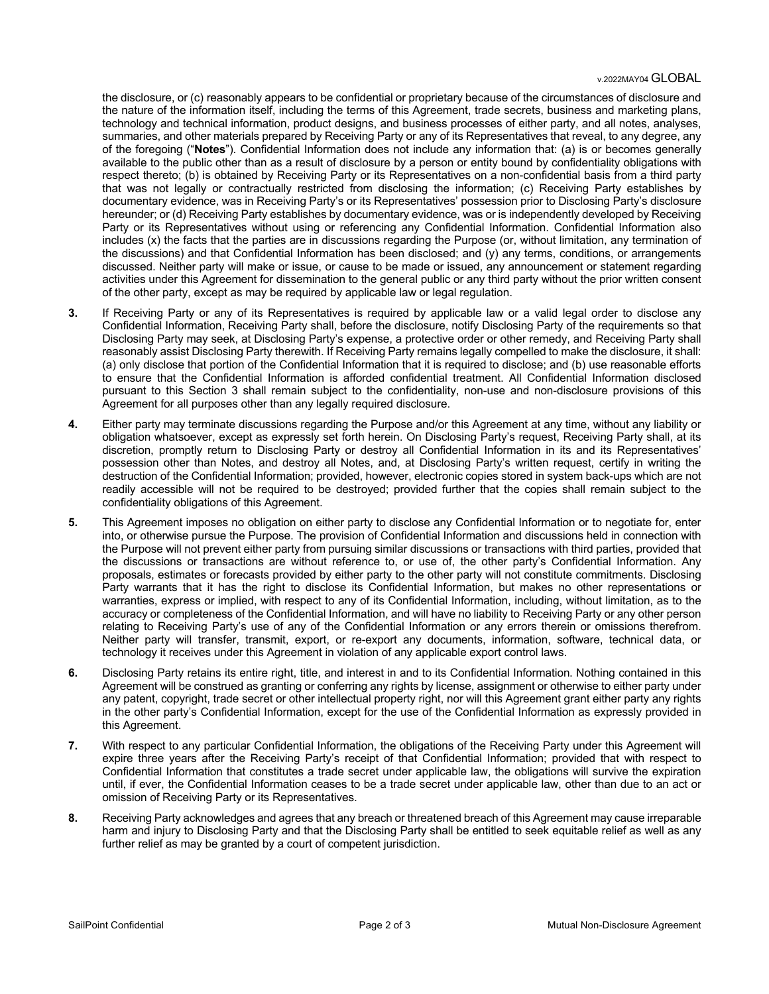the disclosure, or (c) reasonably appears to be confidential or proprietary because of the circumstances of disclosure and the nature of the information itself, including the terms of this Agreement, trade secrets, business and marketing plans, technology and technical information, product designs, and business processes of either party, and all notes, analyses, summaries, and other materials prepared by Receiving Party or any of its Representatives that reveal, to any degree, any of the foregoing ("**Notes**"). Confidential Information does not include any information that: (a) is or becomes generally available to the public other than as a result of disclosure by a person or entity bound by confidentiality obligations with respect thereto; (b) is obtained by Receiving Party or its Representatives on a non-confidential basis from a third party that was not legally or contractually restricted from disclosing the information; (c) Receiving Party establishes by documentary evidence, was in Receiving Party's or its Representatives' possession prior to Disclosing Party's disclosure hereunder; or (d) Receiving Party establishes by documentary evidence, was or is independently developed by Receiving Party or its Representatives without using or referencing any Confidential Information. Confidential Information also includes (x) the facts that the parties are in discussions regarding the Purpose (or, without limitation, any termination of the discussions) and that Confidential Information has been disclosed; and (y) any terms, conditions, or arrangements discussed. Neither party will make or issue, or cause to be made or issued, any announcement or statement regarding activities under this Agreement for dissemination to the general public or any third party without the prior written consent of the other party, except as may be required by applicable law or legal regulation.

- **3.** If Receiving Party or any of its Representatives is required by applicable law or a valid legal order to disclose any Confidential Information, Receiving Party shall, before the disclosure, notify Disclosing Party of the requirements so that Disclosing Party may seek, at Disclosing Party's expense, a protective order or other remedy, and Receiving Party shall reasonably assist Disclosing Party therewith. If Receiving Party remains legally compelled to make the disclosure, it shall: (a) only disclose that portion of the Confidential Information that it is required to disclose; and (b) use reasonable efforts to ensure that the Confidential Information is afforded confidential treatment. All Confidential Information disclosed pursuant to this Section 3 shall remain subject to the confidentiality, non-use and non-disclosure provisions of this Agreement for all purposes other than any legally required disclosure.
- **4.** Either party may terminate discussions regarding the Purpose and/or this Agreement at any time, without any liability or obligation whatsoever, except as expressly set forth herein. On Disclosing Party's request, Receiving Party shall, at its discretion, promptly return to Disclosing Party or destroy all Confidential Information in its and its Representatives' possession other than Notes, and destroy all Notes, and, at Disclosing Party's written request, certify in writing the destruction of the Confidential Information; provided, however, electronic copies stored in system back-ups which are not readily accessible will not be required to be destroyed; provided further that the copies shall remain subject to the confidentiality obligations of this Agreement.
- **5.** This Agreement imposes no obligation on either party to disclose any Confidential Information or to negotiate for, enter into, or otherwise pursue the Purpose. The provision of Confidential Information and discussions held in connection with the Purpose will not prevent either party from pursuing similar discussions or transactions with third parties, provided that the discussions or transactions are without reference to, or use of, the other party's Confidential Information. Any proposals, estimates or forecasts provided by either party to the other party will not constitute commitments. Disclosing Party warrants that it has the right to disclose its Confidential Information, but makes no other representations or warranties, express or implied, with respect to any of its Confidential Information, including, without limitation, as to the accuracy or completeness of the Confidential Information, and will have no liability to Receiving Party or any other person relating to Receiving Party's use of any of the Confidential Information or any errors therein or omissions therefrom. Neither party will transfer, transmit, export, or re-export any documents, information, software, technical data, or technology it receives under this Agreement in violation of any applicable export control laws.
- **6.** Disclosing Party retains its entire right, title, and interest in and to its Confidential Information. Nothing contained in this Agreement will be construed as granting or conferring any rights by license, assignment or otherwise to either party under any patent, copyright, trade secret or other intellectual property right, nor will this Agreement grant either party any rights in the other party's Confidential Information, except for the use of the Confidential Information as expressly provided in this Agreement.
- **7.** With respect to any particular Confidential Information, the obligations of the Receiving Party under this Agreement will expire three years after the Receiving Party's receipt of that Confidential Information; provided that with respect to Confidential Information that constitutes a trade secret under applicable law, the obligations will survive the expiration until, if ever, the Confidential Information ceases to be a trade secret under applicable law, other than due to an act or omission of Receiving Party or its Representatives.
- **8.** Receiving Party acknowledges and agrees that any breach or threatened breach of this Agreement may cause irreparable harm and injury to Disclosing Party and that the Disclosing Party shall be entitled to seek equitable relief as well as any further relief as may be granted by a court of competent jurisdiction.